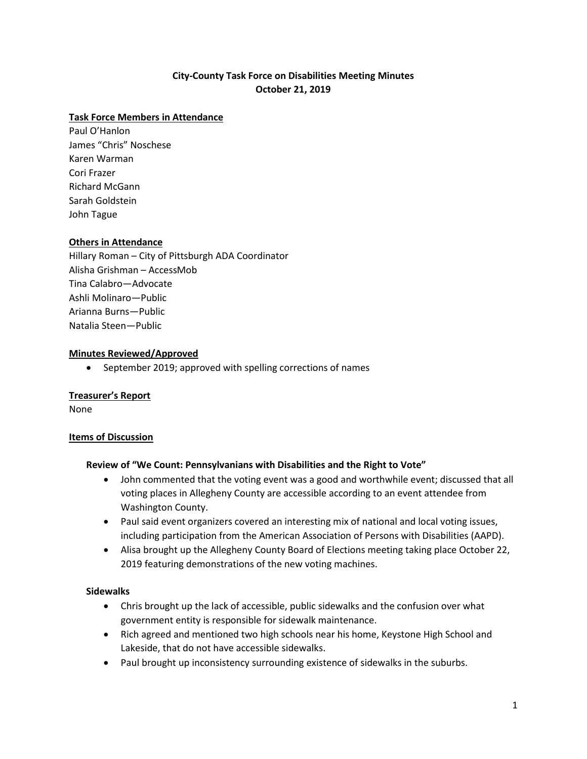# **City-County Task Force on Disabilities Meeting Minutes October 21, 2019**

### **Task Force Members in Attendance**

Paul O'Hanlon James "Chris" Noschese Karen Warman Cori Frazer Richard McGann Sarah Goldstein John Tague

### **Others in Attendance**

Hillary Roman – City of Pittsburgh ADA Coordinator Alisha Grishman – AccessMob Tina Calabro—Advocate Ashli Molinaro—Public Arianna Burns—Public Natalia Steen—Public

#### **Minutes Reviewed/Approved**

• September 2019; approved with spelling corrections of names

#### **Treasurer's Report**

None

#### **Items of Discussion**

#### **Review of "We Count: Pennsylvanians with Disabilities and the Right to Vote"**

- John commented that the voting event was a good and worthwhile event; discussed that all voting places in Allegheny County are accessible according to an event attendee from Washington County.
- Paul said event organizers covered an interesting mix of national and local voting issues, including participation from the American Association of Persons with Disabilities (AAPD).
- Alisa brought up the Allegheny County Board of Elections meeting taking place October 22, 2019 featuring demonstrations of the new voting machines.

### **Sidewalks**

- Chris brought up the lack of accessible, public sidewalks and the confusion over what government entity is responsible for sidewalk maintenance.
- Rich agreed and mentioned two high schools near his home, Keystone High School and Lakeside, that do not have accessible sidewalks.
- Paul brought up inconsistency surrounding existence of sidewalks in the suburbs.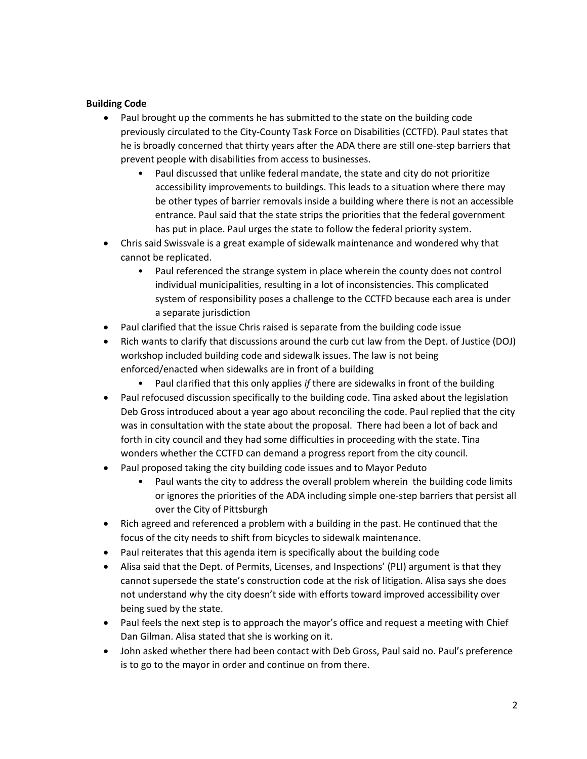### **Building Code**

- Paul brought up the comments he has submitted to the state on the building code previously circulated to the City-County Task Force on Disabilities (CCTFD). Paul states that he is broadly concerned that thirty years after the ADA there are still one-step barriers that prevent people with disabilities from access to businesses.
	- Paul discussed that unlike federal mandate, the state and city do not prioritize accessibility improvements to buildings. This leads to a situation where there may be other types of barrier removals inside a building where there is not an accessible entrance. Paul said that the state strips the priorities that the federal government has put in place. Paul urges the state to follow the federal priority system.
- Chris said Swissvale is a great example of sidewalk maintenance and wondered why that cannot be replicated.
	- Paul referenced the strange system in place wherein the county does not control individual municipalities, resulting in a lot of inconsistencies. This complicated system of responsibility poses a challenge to the CCTFD because each area is under a separate jurisdiction
- Paul clarified that the issue Chris raised is separate from the building code issue
- Rich wants to clarify that discussions around the curb cut law from the Dept. of Justice (DOJ) workshop included building code and sidewalk issues. The law is not being enforced/enacted when sidewalks are in front of a building
	- Paul clarified that this only applies *if* there are sidewalks in front of the building
- Paul refocused discussion specifically to the building code. Tina asked about the legislation Deb Gross introduced about a year ago about reconciling the code. Paul replied that the city was in consultation with the state about the proposal. There had been a lot of back and forth in city council and they had some difficulties in proceeding with the state. Tina wonders whether the CCTFD can demand a progress report from the city council.
- Paul proposed taking the city building code issues and to Mayor Peduto
	- Paul wants the city to address the overall problem wherein the building code limits or ignores the priorities of the ADA including simple one-step barriers that persist all over the City of Pittsburgh
- Rich agreed and referenced a problem with a building in the past. He continued that the focus of the city needs to shift from bicycles to sidewalk maintenance.
- Paul reiterates that this agenda item is specifically about the building code
- Alisa said that the Dept. of Permits, Licenses, and Inspections' (PLI) argument is that they cannot supersede the state's construction code at the risk of litigation. Alisa says she does not understand why the city doesn't side with efforts toward improved accessibility over being sued by the state.
- Paul feels the next step is to approach the mayor's office and request a meeting with Chief Dan Gilman. Alisa stated that she is working on it.
- John asked whether there had been contact with Deb Gross, Paul said no. Paul's preference is to go to the mayor in order and continue on from there.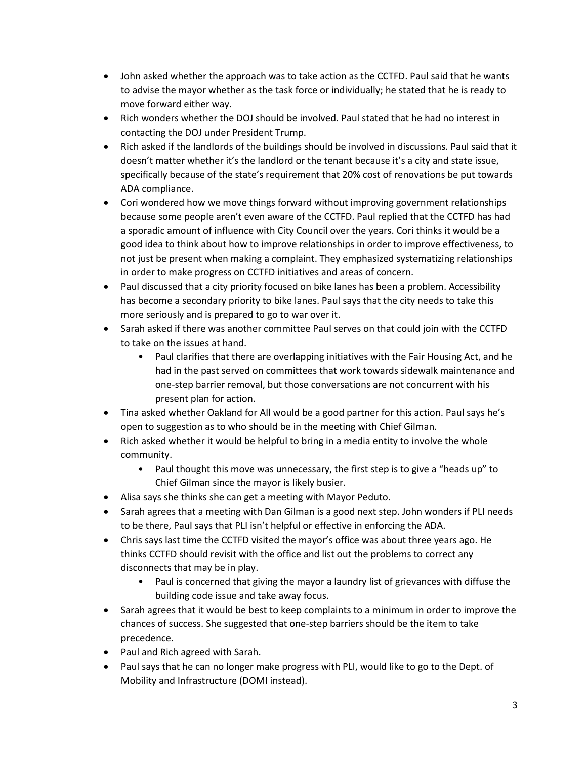- John asked whether the approach was to take action as the CCTFD. Paul said that he wants to advise the mayor whether as the task force or individually; he stated that he is ready to move forward either way.
- Rich wonders whether the DOJ should be involved. Paul stated that he had no interest in contacting the DOJ under President Trump.
- Rich asked if the landlords of the buildings should be involved in discussions. Paul said that it doesn't matter whether it's the landlord or the tenant because it's a city and state issue, specifically because of the state's requirement that 20% cost of renovations be put towards ADA compliance.
- Cori wondered how we move things forward without improving government relationships because some people aren't even aware of the CCTFD. Paul replied that the CCTFD has had a sporadic amount of influence with City Council over the years. Cori thinks it would be a good idea to think about how to improve relationships in order to improve effectiveness, to not just be present when making a complaint. They emphasized systematizing relationships in order to make progress on CCTFD initiatives and areas of concern.
- Paul discussed that a city priority focused on bike lanes has been a problem. Accessibility has become a secondary priority to bike lanes. Paul says that the city needs to take this more seriously and is prepared to go to war over it.
- Sarah asked if there was another committee Paul serves on that could join with the CCTFD to take on the issues at hand.
	- Paul clarifies that there are overlapping initiatives with the Fair Housing Act, and he had in the past served on committees that work towards sidewalk maintenance and one-step barrier removal, but those conversations are not concurrent with his present plan for action.
- Tina asked whether Oakland for All would be a good partner for this action. Paul says he's open to suggestion as to who should be in the meeting with Chief Gilman.
- Rich asked whether it would be helpful to bring in a media entity to involve the whole community.
	- Paul thought this move was unnecessary, the first step is to give a "heads up" to Chief Gilman since the mayor is likely busier.
- Alisa says she thinks she can get a meeting with Mayor Peduto.
- Sarah agrees that a meeting with Dan Gilman is a good next step. John wonders if PLI needs to be there, Paul says that PLI isn't helpful or effective in enforcing the ADA.
- Chris says last time the CCTFD visited the mayor's office was about three years ago. He thinks CCTFD should revisit with the office and list out the problems to correct any disconnects that may be in play.
	- Paul is concerned that giving the mayor a laundry list of grievances with diffuse the building code issue and take away focus.
- Sarah agrees that it would be best to keep complaints to a minimum in order to improve the chances of success. She suggested that one-step barriers should be the item to take precedence.
- Paul and Rich agreed with Sarah.
- Paul says that he can no longer make progress with PLI, would like to go to the Dept. of Mobility and Infrastructure (DOMI instead).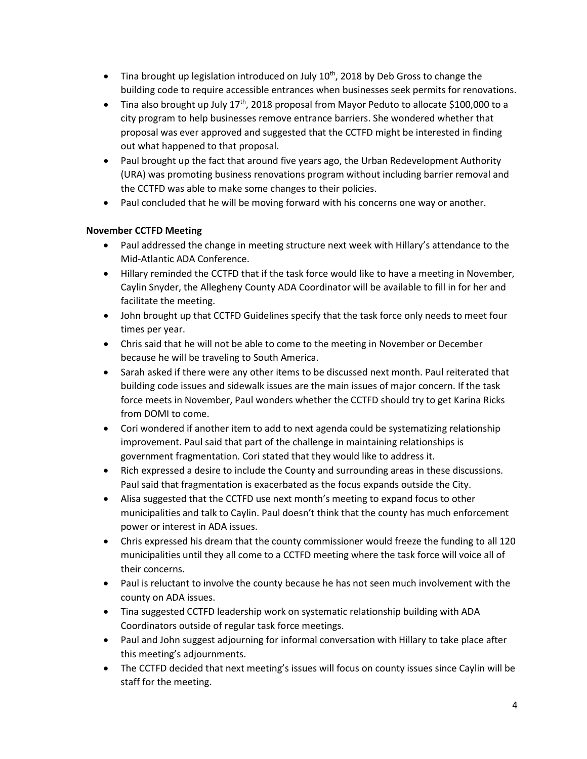- Tina brought up legislation introduced on July  $10^{th}$ , 2018 by Deb Gross to change the building code to require accessible entrances when businesses seek permits for renovations.
- Tina also brought up July  $17<sup>th</sup>$ , 2018 proposal from Mayor Peduto to allocate \$100,000 to a city program to help businesses remove entrance barriers. She wondered whether that proposal was ever approved and suggested that the CCTFD might be interested in finding out what happened to that proposal.
- Paul brought up the fact that around five years ago, the Urban Redevelopment Authority (URA) was promoting business renovations program without including barrier removal and the CCTFD was able to make some changes to their policies.
- Paul concluded that he will be moving forward with his concerns one way or another.

## **November CCTFD Meeting**

- Paul addressed the change in meeting structure next week with Hillary's attendance to the Mid-Atlantic ADA Conference.
- Hillary reminded the CCTFD that if the task force would like to have a meeting in November, Caylin Snyder, the Allegheny County ADA Coordinator will be available to fill in for her and facilitate the meeting.
- John brought up that CCTFD Guidelines specify that the task force only needs to meet four times per year.
- Chris said that he will not be able to come to the meeting in November or December because he will be traveling to South America.
- Sarah asked if there were any other items to be discussed next month. Paul reiterated that building code issues and sidewalk issues are the main issues of major concern. If the task force meets in November, Paul wonders whether the CCTFD should try to get Karina Ricks from DOMI to come.
- Cori wondered if another item to add to next agenda could be systematizing relationship improvement. Paul said that part of the challenge in maintaining relationships is government fragmentation. Cori stated that they would like to address it.
- Rich expressed a desire to include the County and surrounding areas in these discussions. Paul said that fragmentation is exacerbated as the focus expands outside the City.
- Alisa suggested that the CCTFD use next month's meeting to expand focus to other municipalities and talk to Caylin. Paul doesn't think that the county has much enforcement power or interest in ADA issues.
- Chris expressed his dream that the county commissioner would freeze the funding to all 120 municipalities until they all come to a CCTFD meeting where the task force will voice all of their concerns.
- Paul is reluctant to involve the county because he has not seen much involvement with the county on ADA issues.
- Tina suggested CCTFD leadership work on systematic relationship building with ADA Coordinators outside of regular task force meetings.
- Paul and John suggest adjourning for informal conversation with Hillary to take place after this meeting's adjournments.
- The CCTFD decided that next meeting's issues will focus on county issues since Caylin will be staff for the meeting.